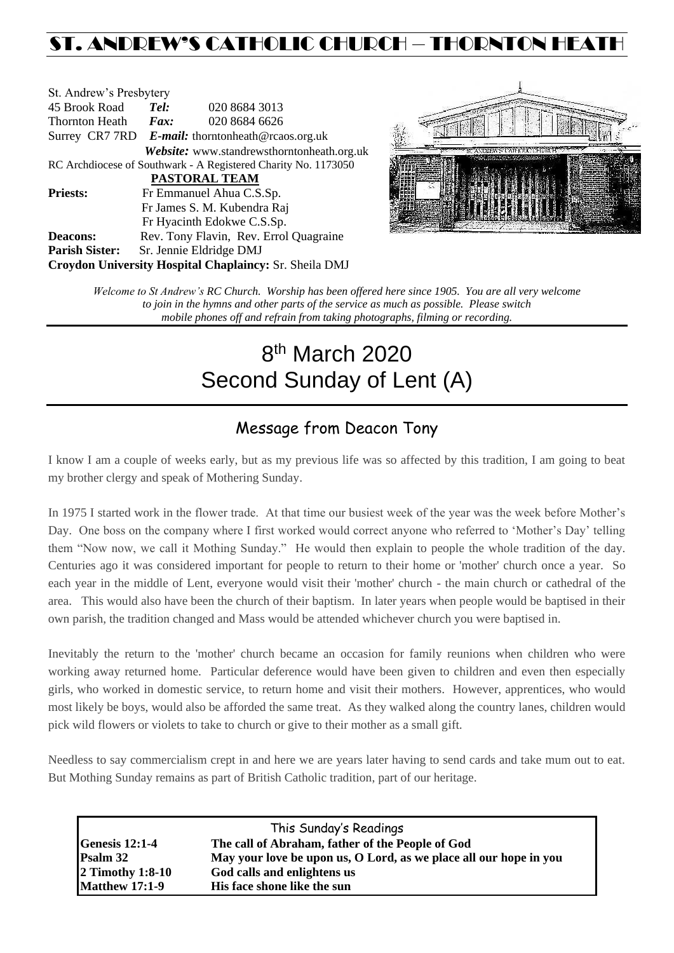## ST. ANDREW'S CATHOLIC CHURCH – THORNTON HEAT

| St. Andrew's Presbytery |      |                                                                |
|-------------------------|------|----------------------------------------------------------------|
| 45 Brook Road           | Tel: | 020 8684 3013                                                  |
| Thornton Heath          | Fax: | 020 8684 6626                                                  |
|                         |      | Surrey CR7 7RD E-mail: thorntonheath@rcaos.org.uk              |
|                         |      | Website: www.standrewsthorntonheath.org.uk                     |
|                         |      | RC Archdiocese of Southwark - A Registered Charity No. 1173050 |
|                         |      | <b>PASTORAL TEAM</b>                                           |
| <b>Priests:</b>         |      | Fr Emmanuel Ahua C.S.Sp.                                       |
|                         |      | Fr James S. M. Kubendra Raj                                    |
|                         |      | Fr Hyacinth Edokwe C.S.Sp.                                     |
| <b>Deacons:</b>         |      | Rev. Tony Flavin, Rev. Errol Quagraine                         |
| <b>Parish Sister:</b>   |      | Sr. Jennie Eldridge DMJ                                        |
|                         |      | Croydon University Hospital Chaplaincy: Sr. Sheila DMJ         |



*Welcome to St Andrew's RC Church. Worship has been offered here since 1905. You are all very welcome to join in the hymns and other parts of the service as much as possible. Please switch mobile phones off and refrain from taking photographs, filming or recording.*

# 8<sup>th</sup> March 2020 Second Sunday of Lent (A)

### Message from Deacon Tony

I know I am a couple of weeks early, but as my previous life was so affected by this tradition, I am going to beat my brother clergy and speak of Mothering Sunday.

In 1975 I started work in the flower trade. At that time our busiest week of the year was the week before Mother's Day. One boss on the company where I first worked would correct anyone who referred to 'Mother's Day' telling them "Now now, we call it Mothing Sunday." He would then explain to people the whole tradition of the day. Centuries ago it was considered important for people to return to their home or 'mother' church once a year. So each year in the middle of Lent, everyone would visit their 'mother' church - the main church or cathedral of the area. This would also have been the church of their baptism. In later years when people would be baptised in their own parish, the tradition changed and Mass would be attended whichever church you were baptised in.

Inevitably the return to the 'mother' church became an occasion for family reunions when children who were working away returned home. Particular deference would have been given to children and even then especially girls, who worked in domestic service, to return home and visit their mothers. However, apprentices, who would most likely be boys, would also be afforded the same treat. As they walked along the country lanes, children would pick wild flowers or violets to take to church or give to their mother as a small gift.

Needless to say commercialism crept in and here we are years later having to send cards and take mum out to eat. But Mothing Sunday remains as part of British Catholic tradition, part of our heritage.

| This Sunday's Readings |                                                                   |  |  |
|------------------------|-------------------------------------------------------------------|--|--|
| <b>Genesis 12:1-4</b>  | The call of Abraham, father of the People of God                  |  |  |
| <b>Psalm 32</b>        | May your love be upon us, O Lord, as we place all our hope in you |  |  |
| $2$ Timothy 1:8-10     | God calls and enlightens us                                       |  |  |
| <b>Matthew 17:1-9</b>  | His face shone like the sun                                       |  |  |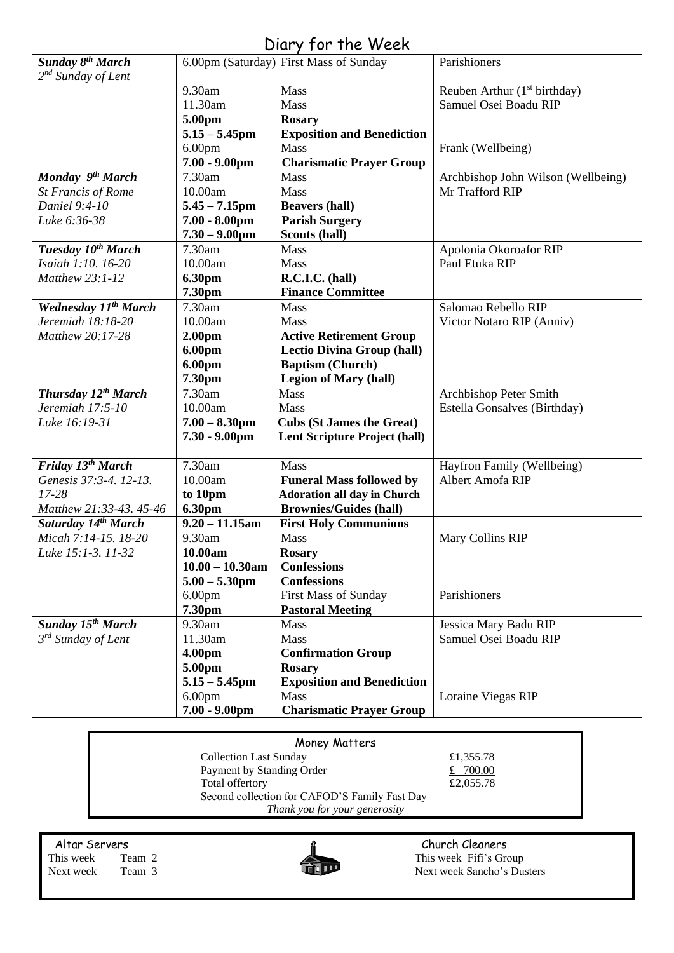### Diary for the Week

| <b>Sunday 8th March</b>         |                    | 6.00pm (Saturday) First Mass of Sunday | Parishioners                       |
|---------------------------------|--------------------|----------------------------------------|------------------------------------|
| $2^{nd}$ Sunday of Lent         |                    |                                        |                                    |
|                                 | 9.30am             | Mass                                   | Reuben Arthur $(1st birthday)$     |
|                                 | 11.30am            | Mass                                   | Samuel Osei Boadu RIP              |
|                                 | 5.00pm             | <b>Rosary</b>                          |                                    |
|                                 | $5.15 - 5.45$ pm   | <b>Exposition and Benediction</b>      |                                    |
|                                 | 6.00 <sub>pm</sub> | <b>Mass</b>                            | Frank (Wellbeing)                  |
|                                 | $7.00 - 9.00$ pm   | <b>Charismatic Prayer Group</b>        |                                    |
| Monday 9th March                | 7.30am             | Mass                                   | Archbishop John Wilson (Wellbeing) |
| <b>St Francis of Rome</b>       | 10.00am            | Mass                                   | Mr Trafford RIP                    |
| Daniel 9:4-10                   | $5.45 - 7.15$ pm   | <b>Beavers (hall)</b>                  |                                    |
| Luke 6:36-38                    | $7.00 - 8.00$ pm   | <b>Parish Surgery</b>                  |                                    |
|                                 | $7.30 - 9.00$ pm   | <b>Scouts (hall)</b>                   |                                    |
| Tuesday 10 <sup>th</sup> March  | 7.30am             | Mass                                   | Apolonia Okoroafor RIP             |
| Isaiah 1:10. 16-20              | 10.00am            | Mass                                   | Paul Etuka RIP                     |
| Matthew 23:1-12                 | 6.30pm             | R.C.I.C. (hall)                        |                                    |
|                                 | 7.30pm             | <b>Finance Committee</b>               |                                    |
| <b>Wednesday 11th March</b>     | 7.30am             | <b>Mass</b>                            | Salomao Rebello RIP                |
| Jeremiah 18:18-20               | 10.00am            | Mass                                   | Victor Notaro RIP (Anniv)          |
| Matthew 20:17-28                | 2.00 <sub>pm</sub> | <b>Active Retirement Group</b>         |                                    |
|                                 | 6.00pm             | <b>Lectio Divina Group (hall)</b>      |                                    |
|                                 | 6.00pm             | <b>Baptism (Church)</b>                |                                    |
|                                 | 7.30pm             | <b>Legion of Mary (hall)</b>           |                                    |
| Thursday 12 <sup>th</sup> March | 7.30am             | <b>Mass</b>                            | Archbishop Peter Smith             |
| Jeremiah 17:5-10                | 10.00am            | Mass                                   | Estella Gonsalves (Birthday)       |
| Luke 16:19-31                   | $7.00 - 8.30$ pm   | <b>Cubs (St James the Great)</b>       |                                    |
|                                 | $7.30 - 9.00$ pm   | <b>Lent Scripture Project (hall)</b>   |                                    |
| Friday 13 <sup>th</sup> March   | 7.30am             | Mass                                   | Hayfron Family (Wellbeing)         |
| Genesis 37:3-4. 12-13.          | 10.00am            | <b>Funeral Mass followed by</b>        | Albert Amofa RIP                   |
| 17-28                           | to 10pm            | <b>Adoration all day in Church</b>     |                                    |
| Matthew 21:33-43. 45-46         | 6.30pm             | <b>Brownies/Guides (hall)</b>          |                                    |
| Saturday 14th March             | $9.20 - 11.15$ am  | <b>First Holy Communions</b>           |                                    |
| Micah 7:14-15. 18-20            | 9.30am             | Mass                                   | Mary Collins RIP                   |
| Luke 15:1-3. 11-32              | 10.00am            | <b>Rosary</b>                          |                                    |
|                                 | $10.00 - 10.30$ am | <b>Confessions</b>                     |                                    |
|                                 | $5.00 - 5.30$ pm   | <b>Confessions</b>                     |                                    |
|                                 | 6.00 <sub>pm</sub> | <b>First Mass of Sunday</b>            | Parishioners                       |
|                                 | 7.30pm             | <b>Pastoral Meeting</b>                |                                    |
| Sunday 15 <sup>th</sup> March   | 9.30am             | <b>Mass</b>                            | Jessica Mary Badu RIP              |
| 3 <sup>rd</sup> Sunday of Lent  | 11.30am            | Mass                                   | Samuel Osei Boadu RIP              |
|                                 | 4.00pm             | <b>Confirmation Group</b>              |                                    |
|                                 | 5.00pm             | <b>Rosary</b>                          |                                    |
|                                 | $5.15 - 5.45$ pm   | <b>Exposition and Benediction</b>      |                                    |
|                                 | 6.00 <sub>pm</sub> | Mass                                   | Loraine Viegas RIP                 |
|                                 | $7.00 - 9.00$ pm   | <b>Charismatic Prayer Group</b>        |                                    |
|                                 |                    |                                        |                                    |

| Money Matters                                 |           |  |
|-----------------------------------------------|-----------|--|
| <b>Collection Last Sunday</b>                 | £1,355.78 |  |
| Payment by Standing Order                     | £ 700.00  |  |
| Total offertory                               | £2,055.78 |  |
| Second collection for CAFOD'S Family Fast Day |           |  |
| Thank you for your generosity                 |           |  |
|                                               |           |  |

Altar Servers **Church Cleaners Church Cleaners** 



This week Team 2 This week Fifi's Group<br>Next week Team 3 This week Sancho's Dus Next week Team 3 Next week Sancho's Dusters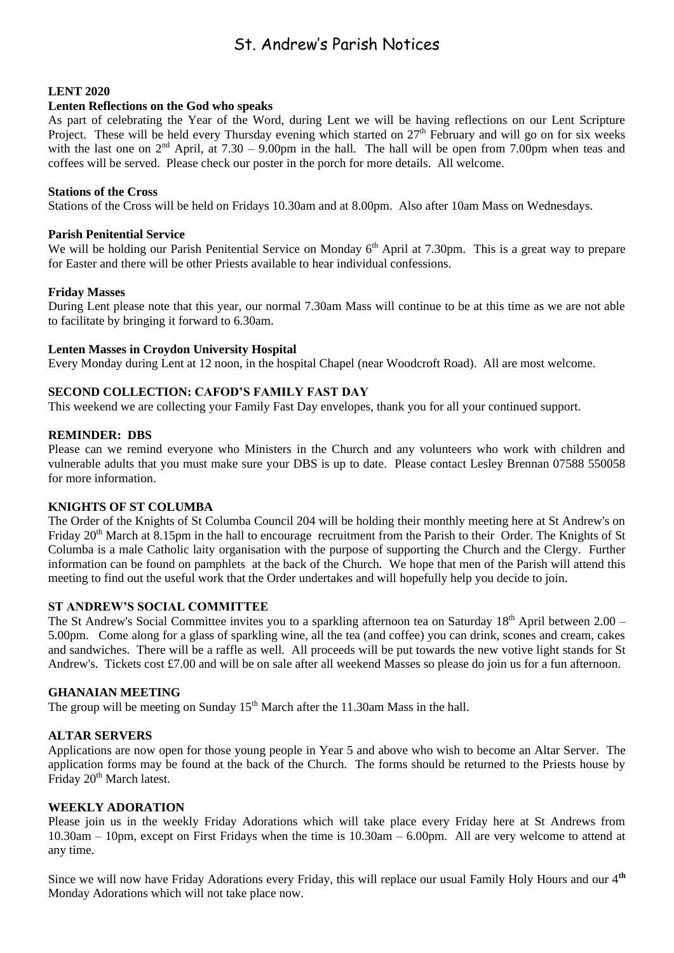### St. Andrew's Parish Notices

#### **LENT 2020**

#### **Lenten Reflections on the God who speaks**

As part of celebrating the Year of the Word, during Lent we will be having reflections on our Lent Scripture Project. These will be held every Thursday evening which started on 27<sup>th</sup> February and will go on for six weeks with the last one on  $2<sup>nd</sup>$  April, at  $7.30 - 9.00$ pm in the hall. The hall will be open from 7.00pm when teas and coffees will be served. Please check our poster in the porch for more details. All welcome.

#### **Stations of the Cross**

Stations of the Cross will be held on Fridays 10.30am and at 8.00pm. Also after 10am Mass on Wednesdays.

#### **Parish Penitential Service**

We will be holding our Parish Penitential Service on Monday 6<sup>th</sup> April at 7.30pm. This is a great way to prepare for Easter and there will be other Priests available to hear individual confessions.

#### **Friday Masses**

During Lent please note that this year, our normal 7.30am Mass will continue to be at this time as we are not able to facilitate by bringing it forward to 6.30am.

#### **Lenten Masses in Croydon University Hospital**

Every Monday during Lent at 12 noon, in the hospital Chapel (near Woodcroft Road). All are most welcome.

#### **SECOND COLLECTION: CAFOD'S FAMILY FAST DAY**

This weekend we are collecting your Family Fast Day envelopes, thank you for all your continued support.

#### **REMINDER: DBS**

Please can we remind everyone who Ministers in the Church and any volunteers who work with children and vulnerable adults that you must make sure your DBS is up to date. Please contact Lesley Brennan 07588 550058 for more information.

#### **KNIGHTS OF ST COLUMBA**

The Order of the Knights of St Columba Council 204 will be holding their monthly meeting here at St Andrew's on Friday 20<sup>th</sup> March at 8.15pm in the hall to encourage recruitment from the Parish to their Order. The Knights of St Columba is a male Catholic laity organisation with the purpose of supporting the Church and the Clergy. Further information can be found on pamphlets at the back of the Church. We hope that men of the Parish will attend this meeting to find out the useful work that the Order undertakes and will hopefully help you decide to join.

#### **ST ANDREW'S SOCIAL COMMITTEE**

The St Andrew's Social Committee invites you to a sparkling afternoon tea on Saturday 18<sup>th</sup> April between 2.00 – 5.00pm. Come along for a glass of sparkling wine, all the tea (and coffee) you can drink, scones and cream, cakes and sandwiches. There will be a raffle as well. All proceeds will be put towards the new votive light stands for St Andrew's. Tickets cost £7.00 and will be on sale after all weekend Masses so please do join us for a fun afternoon.

#### **GHANAIAN MEETING**

The group will be meeting on Sunday  $15<sup>th</sup>$  March after the 11.30am Mass in the hall.

#### **ALTAR SERVERS**

Applications are now open for those young people in Year 5 and above who wish to become an Altar Server. The application forms may be found at the back of the Church. The forms should be returned to the Priests house by Friday 20<sup>th</sup> March latest.

#### **WEEKLY ADORATION**

Please join us in the weekly Friday Adorations which will take place every Friday here at St Andrews from 10.30am – 10pm, except on First Fridays when the time is 10.30am – 6.00pm. All are very welcome to attend at any time.

Since we will now have Friday Adorations every Friday, this will replace our usual Family Holy Hours and our 4**th** Monday Adorations which will not take place now.